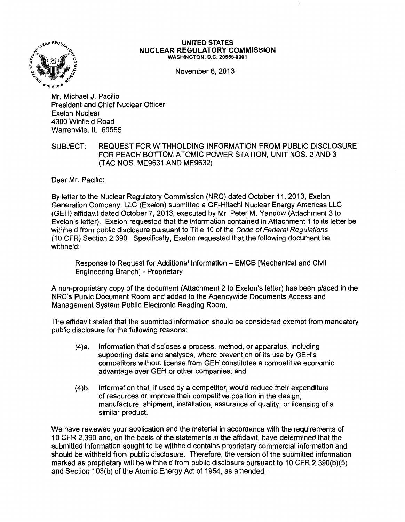

## UNITED STATES NUCLEAR REGULATORY COMMISSION WASHINGTON, D.C. 20555-0001

November 6, 2013

Mr. Michael J. Pacilio President and Chief Nuclear Officer Exelon Nuclear 4300 Winfield Road Warrenville, IL 60555

## SUBJECT: REQUEST FOR WITHHOLDING INFORMATION FROM PUBLIC DISCLOSURE FOR PEACH BOTTOM ATOMIC POWER STATION, UNIT NOS. 2 AND 3 (TAC NOS. ME9631 AND ME9632)

Dear Mr. Pacilio:

By letter to the Nuclear Regulatory Commission (NRC) dated October 11, 2013, Exelon Generation Company, LLC (Exelon) submitted a GE-Hitachi Nuclear Energy Americas LLC (GEH) affidavit dated October 7, 2013, executed by Mr. Peter M. Yandow (Attachment 3 to Exelon's letter). Exelon requested that the information contained in Attachment 1 to its letter be withheld from public disclosure pursuant to Title 10 of the Code of Federal Regulations (10 CFR) Section 2.390. Specifically, Exelon requested that the following document be withheld:

Response to Request for Additional Information- EMCB [Mechanical and Civil Engineering Branch] - Proprietary

A non-proprietary copy of the document (Attachment 2 to Exelon's letter) has been placed in the NRC's Public Document Room and added to the Agencywide Documents Access and Management System Public Electronic Reading Room.

The affidavit stated that the submitted information should be considered exempt from mandatory public disclosure for the following reasons:

- (4)a. Information that discloses a process, method, or apparatus, including supporting data and analyses, where prevention of its use by GEH's competitors without license from GEH constitutes a competitive economic advantage over GEH or other companies; and
- (4)b. Information that, if used by a competitor, would reduce their expenditure of resources or improve their competitive position in the design, manufacture, shipment, installation, assurance of quality, or licensing of a similar product.

We have reviewed your application and the material in accordance with the requirements of 10 CFR 2.390 and, on the basis of the statements in the affidavit, have determined that the submitted information sought to be withheld contains proprietary commercial information and should be withheld from public disclosure. Therefore, the version of the submitted information marked as proprietary will be withheld from public disclosure pursuant to 10 CFR 2.390(b)(5) and Section 103(b) of the Atomic Energy Act of 1954, as amended.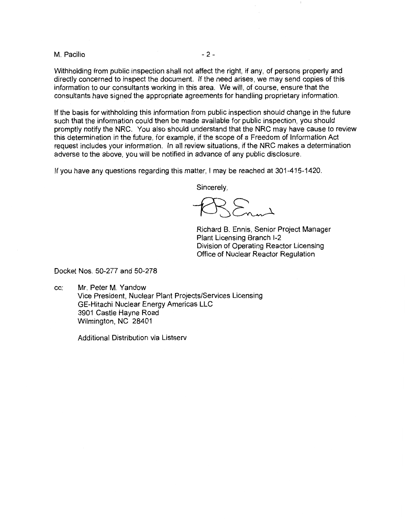M. Pacilio  $-2 -$ 

Withholding from public inspection shall not affect the right, if any, of persons properly and directly concerned to inspect the document. If the need arises, we may send copies of this information to our consultants working in this area. We will, of course, ensure that the consultants have signed the appropriate agreements for handling proprietary information.

If the basis for withholding this information from public inspection should change in the future such that the information could then be made available for public inspection, you should promptly notify the NRC. You also should understand that the NRC may have cause to review this determination in the future, for example, if the scope of a Freedom of Information Act request includes your information. In all review situations, if the NRC makes a determination adverse to the above, you will be notified in advance of any public disclosure.

If you have any questions regarding this matter, I may be reached at 301-415-1420.

Sincerely,

 $\sum_{\alpha}$ 

Richard B. Ennis, Senior Project Manager Plant Licensing Branch 1-2 Division of Operating Reactor Licensing Office of Nuclear Reactor Regulation

Docket Nos. 50-277 and 50-278

cc: Mr. Peter M. Yandow Vice President, Nuclear Plant Projects/Services Licensing GE-Hitachi Nuclear Energy Americas LLC 3901 Castle Hayne Road Wilmington, NC 28401

Additional Distribution via Listserv